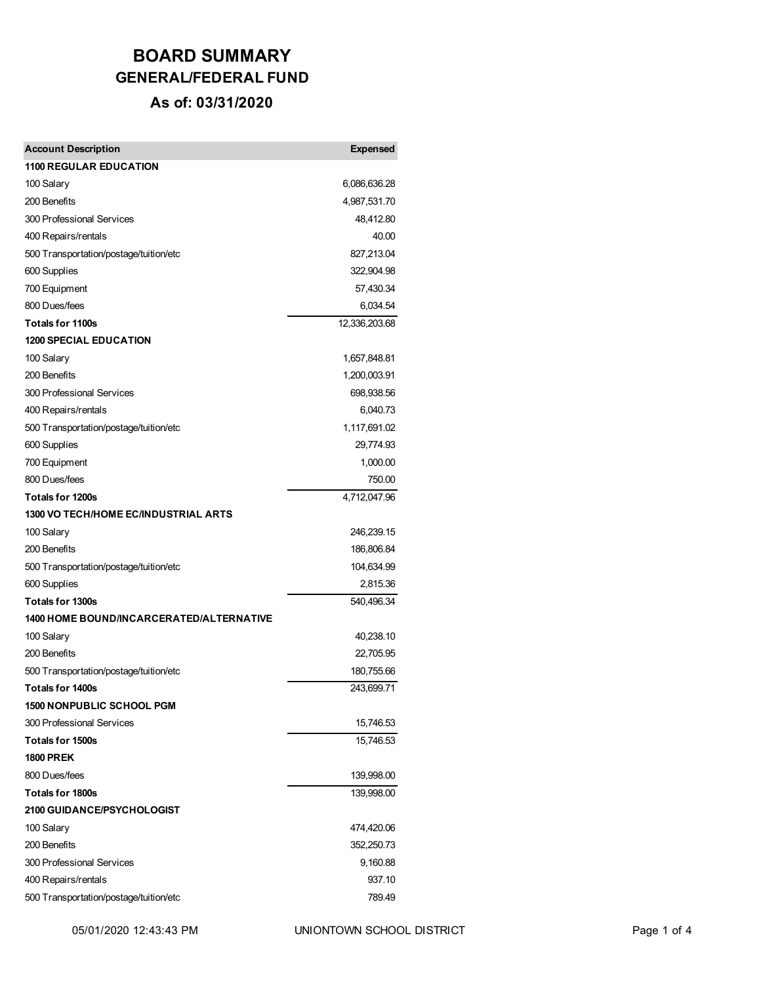## **BOARD SUMMARY GENERAL/FEDERAL FUND**

#### **As of: 03/31/2020**

| <b>Account Description</b>                      | <b>Expensed</b> |
|-------------------------------------------------|-----------------|
| <b>1100 REGULAR EDUCATION</b>                   |                 |
| 100 Salary                                      | 6,086,636.28    |
| 200 Benefits                                    | 4,987,531.70    |
| 300 Professional Services                       | 48,412.80       |
| 400 Repairs/rentals                             | 40.00           |
| 500 Transportation/postage/tuition/etc          | 827,213.04      |
| 600 Supplies                                    | 322,904.98      |
| 700 Equipment                                   | 57,430.34       |
| 800 Dues/fees                                   | 6,034.54        |
| Totals for 1100s                                | 12,336,203.68   |
| <b>1200 SPECIAL EDUCATION</b>                   |                 |
| 100 Salary                                      | 1,657,848.81    |
| 200 Benefits                                    | 1,200,003.91    |
| 300 Professional Services                       | 698,938.56      |
| 400 Repairs/rentals                             | 6,040.73        |
| 500 Transportation/postage/tuition/etc          | 1,117,691.02    |
| 600 Supplies                                    | 29,774.93       |
| 700 Equipment                                   | 1,000.00        |
| 800 Dues/fees                                   | 750.00          |
| <b>Totals for 1200s</b>                         | 4,712,047.96    |
| 1300 VO TECH/HOME EC/INDUSTRIAL ARTS            |                 |
| 100 Salary                                      | 246,239.15      |
| 200 Benefits                                    | 186,806.84      |
| 500 Transportation/postage/tuition/etc          | 104,634.99      |
| 600 Supplies                                    | 2,815.36        |
| Totals for 1300s                                | 540,496.34      |
| <b>1400 HOME BOUND/INCARCERATED/ALTERNATIVE</b> |                 |
| 100 Salary                                      | 40,238.10       |
| 200 Benefits                                    | 22,705.95       |
| 500 Transportation/postage/tuition/etc          | 180,755.66      |
| <b>Totals for 1400s</b>                         | 243,699.71      |
| <b>1500 NONPUBLIC SCHOOL PGM</b>                |                 |
| 300 Professional Services                       | 15,746.53       |
| Totals for 1500s                                | 15,746.53       |
| <b>1800 PREK</b>                                |                 |
| 800 Dues/fees                                   | 139,998.00      |
| Totals for 1800s                                | 139,998.00      |
| <b>2100 GUIDANCE/PSYCHOLOGIST</b>               |                 |
| 100 Salary                                      | 474,420.06      |
| 200 Benefits                                    | 352,250.73      |
| 300 Professional Services                       | 9,160.88        |
| 400 Repairs/rentals                             | 937.10          |
| 500 Transportation/postage/tuition/etc          | 789.49          |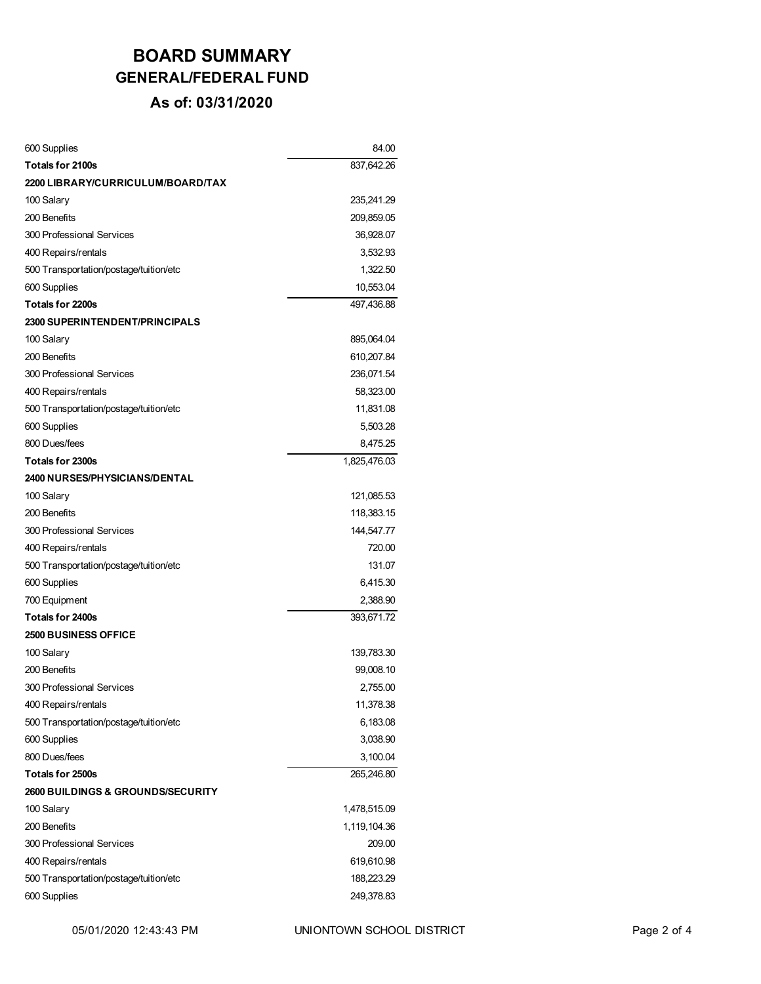# **BOARD SUMMARY GENERAL/FEDERAL FUND**

#### **As of: 03/31/2020**

| 600 Supplies                                 | 84.00        |
|----------------------------------------------|--------------|
| Totals for 2100s                             | 837,642.26   |
| 2200 LIBRARY/CURRICULUM/BOARD/TAX            |              |
| 100 Salary                                   | 235,241.29   |
| 200 Benefits                                 | 209,859.05   |
| 300 Professional Services                    | 36,928.07    |
| 400 Repairs/rentals                          | 3,532.93     |
| 500 Transportation/postage/tuition/etc       | 1,322.50     |
| 600 Supplies                                 | 10,553.04    |
| Totals for 2200s                             | 497,436.88   |
| <b>2300 SUPERINTENDENT/PRINCIPALS</b>        |              |
| 100 Salary                                   | 895,064.04   |
| 200 Benefits                                 | 610,207.84   |
| 300 Professional Services                    | 236,071.54   |
| 400 Repairs/rentals                          | 58,323.00    |
| 500 Transportation/postage/tuition/etc       | 11,831.08    |
| 600 Supplies                                 | 5,503.28     |
| 800 Dues/fees                                | 8,475.25     |
| Totals for 2300s                             | 1,825,476.03 |
| <b>2400 NURSES/PHYSICIANS/DENTAL</b>         |              |
| 100 Salary                                   | 121,085.53   |
| 200 Benefits                                 | 118,383.15   |
| 300 Professional Services                    | 144,547.77   |
| 400 Repairs/rentals                          | 720.00       |
| 500 Transportation/postage/tuition/etc       | 131.07       |
| 600 Supplies                                 | 6,415.30     |
| 700 Equipment                                | 2,388.90     |
| Totals for 2400s                             | 393,671.72   |
| <b>2500 BUSINESS OFFICE</b>                  |              |
| 100 Salary                                   | 139,783.30   |
| 200 Benefits                                 | 99,008.10    |
| 300 Professional Services                    | 2,755.00     |
| 400 Repairs/rentals                          | 11,378.38    |
| 500 Transportation/postage/tuition/etc       | 6,183.08     |
| 600 Supplies                                 | 3,038.90     |
| 800 Dues/fees                                | 3,100.04     |
| Totals for 2500s                             | 265,246.80   |
| <b>2600 BUILDINGS &amp; GROUNDS/SECURITY</b> |              |
| 100 Salary                                   | 1,478,515.09 |
| 200 Benefits                                 | 1,119,104.36 |
| 300 Professional Services                    | 209.00       |
| 400 Repairs/rentals                          | 619,610.98   |
| 500 Transportation/postage/tuition/etc       | 188,223.29   |
| 600 Supplies                                 | 249,378.83   |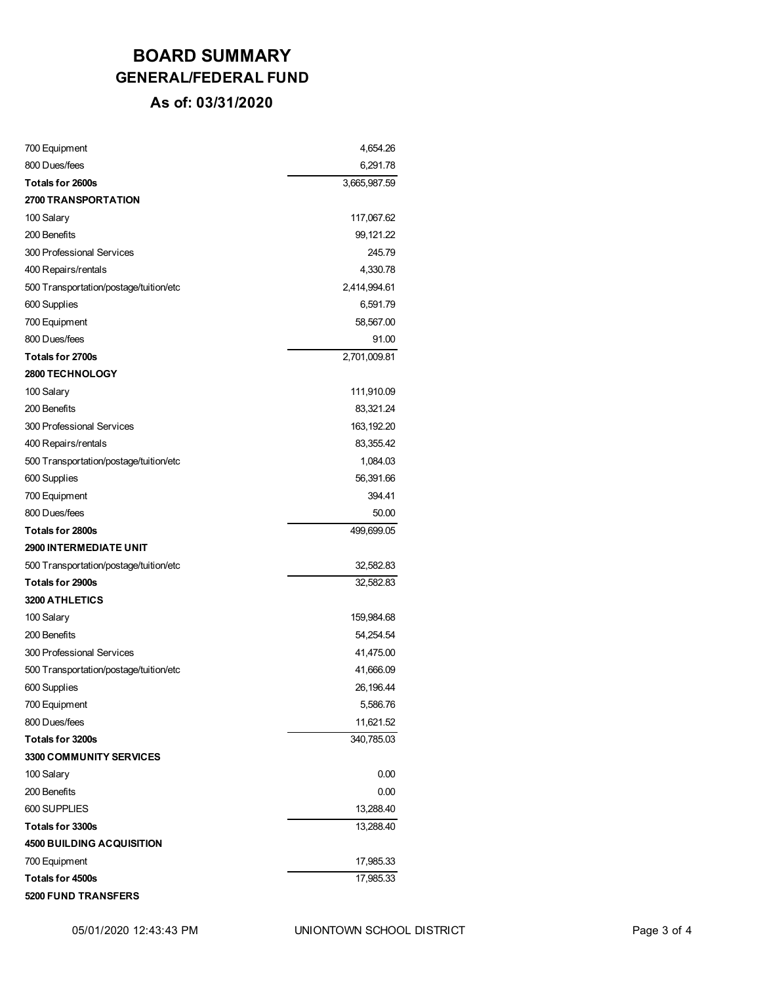# **BOARD SUMMARY GENERAL/FEDERAL FUND**

#### **As of: 03/31/2020**

| 700 Equipment                          | 4,654.26     |
|----------------------------------------|--------------|
| 800 Dues/fees                          | 6,291.78     |
| <b>Totals for 2600s</b>                | 3,665,987.59 |
| <b>2700 TRANSPORTATION</b>             |              |
| 100 Salary                             | 117,067.62   |
| 200 Benefits                           | 99,121.22    |
| 300 Professional Services              | 245.79       |
| 400 Repairs/rentals                    | 4,330.78     |
| 500 Transportation/postage/tuition/etc | 2,414,994.61 |
| 600 Supplies                           | 6,591.79     |
| 700 Equipment                          | 58,567.00    |
| 800 Dues/fees                          | 91.00        |
| Totals for 2700s                       | 2,701,009.81 |
| <b>2800 TECHNOLOGY</b>                 |              |
| 100 Salary                             | 111,910.09   |
| 200 Benefits                           | 83,321.24    |
| 300 Professional Services              | 163, 192. 20 |
| 400 Repairs/rentals                    | 83,355.42    |
| 500 Transportation/postage/tuition/etc | 1,084.03     |
| 600 Supplies                           | 56,391.66    |
| 700 Equipment                          | 394.41       |
| 800 Dues/fees                          | 50.00        |
| <b>Totals for 2800s</b>                | 499,699.05   |
| <b>2900 INTERMEDIATE UNIT</b>          |              |
| 500 Transportation/postage/tuition/etc | 32,582.83    |
| Totals for 2900s                       | 32,582.83    |
| 3200 ATHLETICS                         |              |
| 100 Salary                             | 159,984.68   |
| 200 Benefits                           | 54,254.54    |
| 300 Professional Services              | 41,475.00    |
| 500 Transportation/postage/tuition/etc | 41,666.09    |
| 600 Supplies                           | 26,196.44    |
| 700 Equipment                          | 5,586.76     |
| 800 Dues/fees                          | 11,621.52    |
| Totals for 3200s                       | 340,785.03   |
| 3300 COMMUNITY SERVICES                |              |
| 100 Salary                             | 0.00         |
| 200 Benefits                           | 0.00         |
| 600 SUPPLIES                           | 13,288.40    |
| Totals for 3300s                       | 13,288.40    |
| <b>4500 BUILDING ACQUISITION</b>       |              |
| 700 Equipment                          | 17,985.33    |
| Totals for 4500s                       | 17,985.33    |
| <b>5200 FUND TRANSFERS</b>             |              |